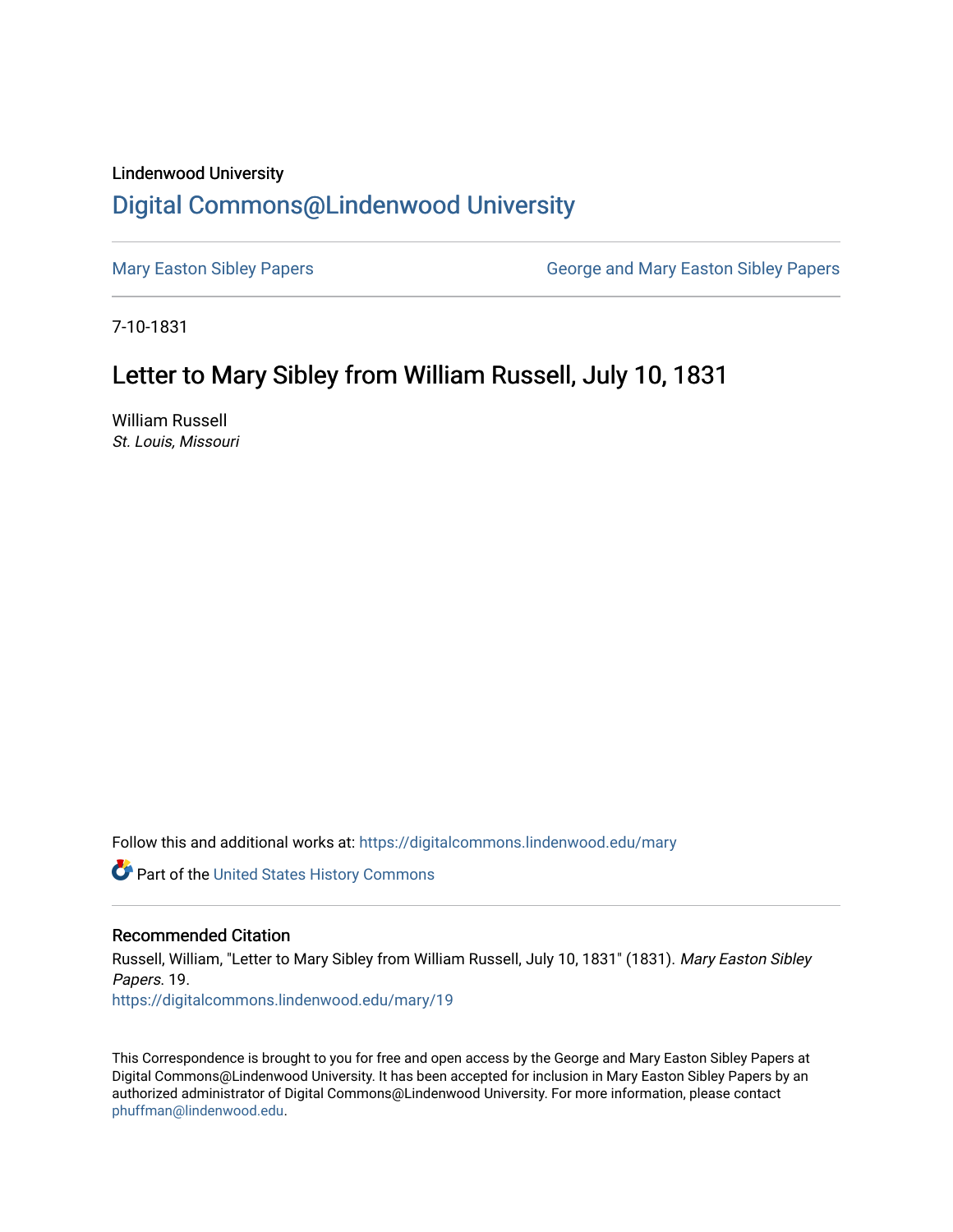## Lindenwood University [Digital Commons@Lindenwood University](https://digitalcommons.lindenwood.edu/)

[Mary Easton Sibley Papers](https://digitalcommons.lindenwood.edu/mary) **George and Mary Easton Sibley Papers** George and Mary Easton Sibley Papers

7-10-1831

## Letter to Mary Sibley from William Russell, July 10, 1831

William Russell St. Louis, Missouri

Follow this and additional works at: [https://digitalcommons.lindenwood.edu/mary](https://digitalcommons.lindenwood.edu/mary?utm_source=digitalcommons.lindenwood.edu%2Fmary%2F19&utm_medium=PDF&utm_campaign=PDFCoverPages) 

Part of the [United States History Commons](http://network.bepress.com/hgg/discipline/495?utm_source=digitalcommons.lindenwood.edu%2Fmary%2F19&utm_medium=PDF&utm_campaign=PDFCoverPages) 

## Recommended Citation

Russell, William, "Letter to Mary Sibley from William Russell, July 10, 1831" (1831). Mary Easton Sibley Papers. 19. [https://digitalcommons.lindenwood.edu/mary/19](https://digitalcommons.lindenwood.edu/mary/19?utm_source=digitalcommons.lindenwood.edu%2Fmary%2F19&utm_medium=PDF&utm_campaign=PDFCoverPages)

This Correspondence is brought to you for free and open access by the George and Mary Easton Sibley Papers at Digital Commons@Lindenwood University. It has been accepted for inclusion in Mary Easton Sibley Papers by an authorized administrator of Digital Commons@Lindenwood University. For more information, please contact [phuffman@lindenwood.edu](mailto:phuffman@lindenwood.edu).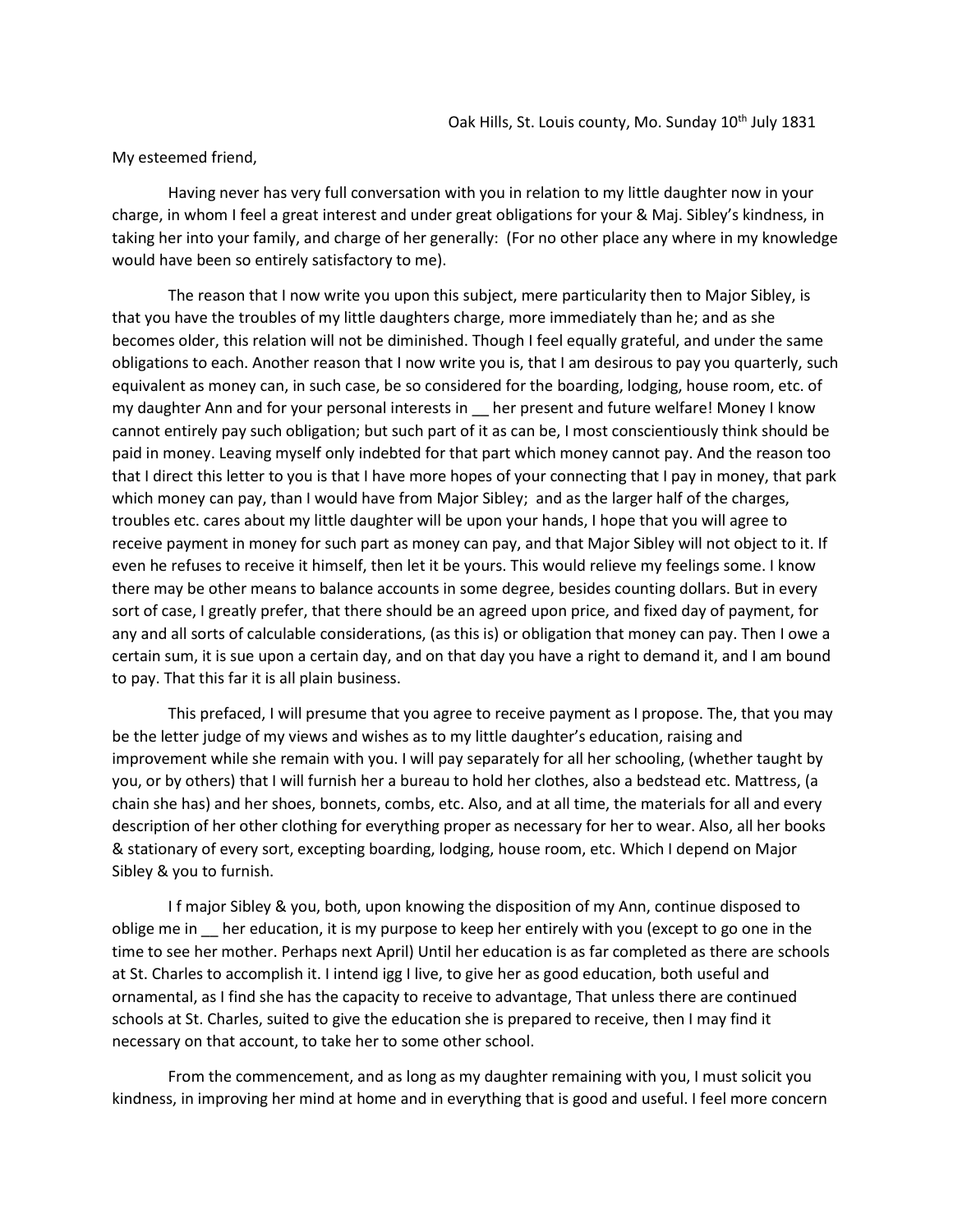## My esteemed friend,

Having never has very full conversation with you in relation to my little daughter now in your charge, in whom I feel a great interest and under great obligations for your & Maj. Sibley's kindness, in taking her into your family, and charge of her generally: (For no other place any where in my knowledge would have been so entirely satisfactory to me).

The reason that I now write you upon this subject, mere particularity then to Major Sibley, is that you have the troubles of my little daughters charge, more immediately than he; and as she becomes older, this relation will not be diminished. Though I feel equally grateful, and under the same obligations to each. Another reason that I now write you is, that I am desirous to pay you quarterly, such equivalent as money can, in such case, be so considered for the boarding, lodging, house room, etc. of my daughter Ann and for your personal interests in Learn present and future welfare! Money I know cannot entirely pay such obligation; but such part of it as can be, I most conscientiously think should be paid in money. Leaving myself only indebted for that part which money cannot pay. And the reason too that I direct this letter to you is that I have more hopes of your connecting that I pay in money, that park which money can pay, than I would have from Major Sibley; and as the larger half of the charges, troubles etc. cares about my little daughter will be upon your hands, I hope that you will agree to receive payment in money for such part as money can pay, and that Major Sibley will not object to it. If even he refuses to receive it himself, then let it be yours. This would relieve my feelings some. I know there may be other means to balance accounts in some degree, besides counting dollars. But in every sort of case, I greatly prefer, that there should be an agreed upon price, and fixed day of payment, for any and all sorts of calculable considerations, (as this is) or obligation that money can pay. Then I owe a certain sum, it is sue upon a certain day, and on that day you have a right to demand it, and I am bound to pay. That this far it is all plain business.

This prefaced, I will presume that you agree to receive payment as I propose. The, that you may be the letter judge of my views and wishes as to my little daughter's education, raising and improvement while she remain with you. I will pay separately for all her schooling, (whether taught by you, or by others) that I will furnish her a bureau to hold her clothes, also a bedstead etc. Mattress, (a chain she has) and her shoes, bonnets, combs, etc. Also, and at all time, the materials for all and every description of her other clothing for everything proper as necessary for her to wear. Also, all her books & stationary of every sort, excepting boarding, lodging, house room, etc. Which I depend on Major Sibley & you to furnish.

I f major Sibley & you, both, upon knowing the disposition of my Ann, continue disposed to oblige me in \_\_ her education, it is my purpose to keep her entirely with you (except to go one in the time to see her mother. Perhaps next April) Until her education is as far completed as there are schools at St. Charles to accomplish it. I intend igg I live, to give her as good education, both useful and ornamental, as I find she has the capacity to receive to advantage, That unless there are continued schools at St. Charles, suited to give the education she is prepared to receive, then I may find it necessary on that account, to take her to some other school.

From the commencement, and as long as my daughter remaining with you, I must solicit you kindness, in improving her mind at home and in everything that is good and useful. I feel more concern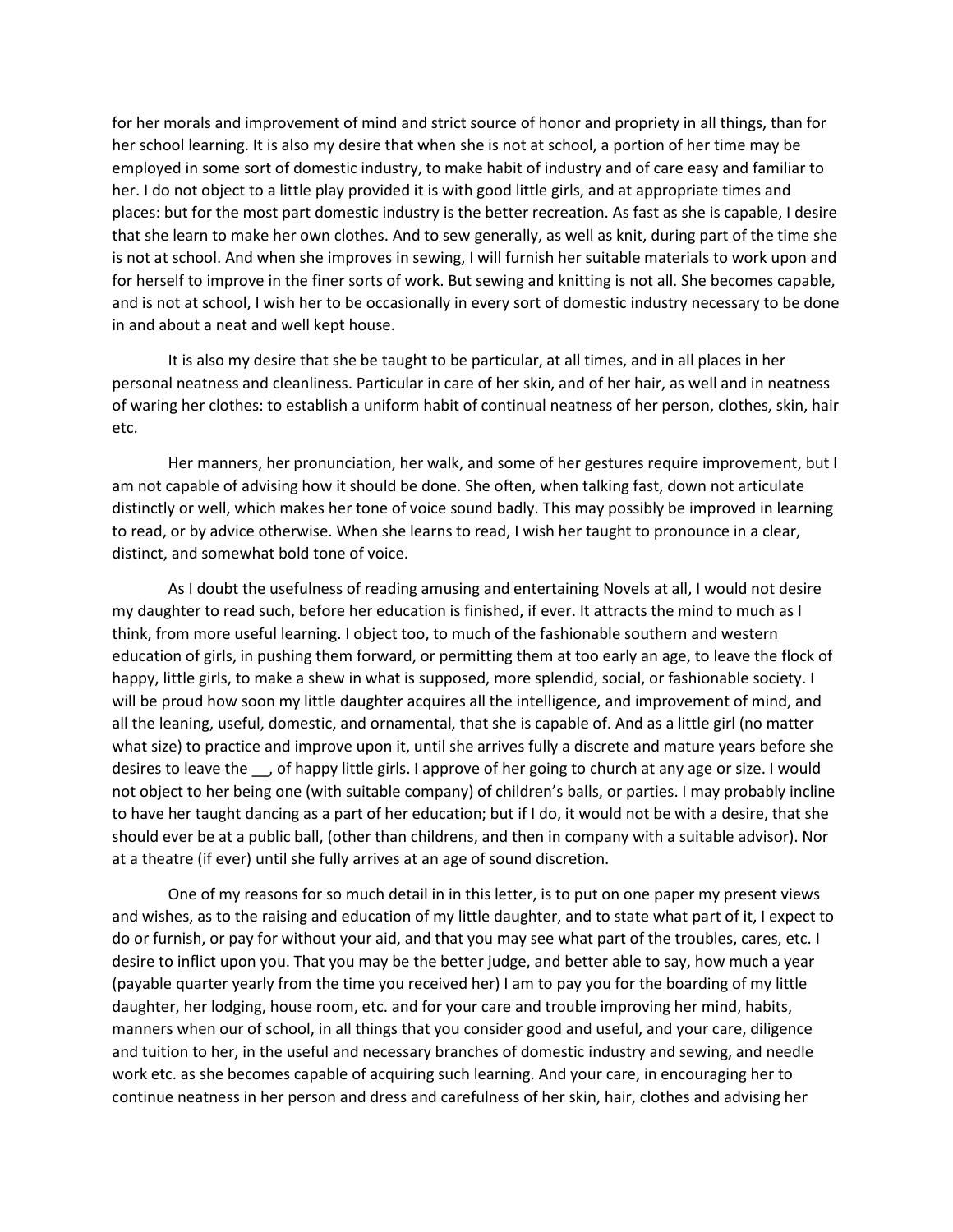for her morals and improvement of mind and strict source of honor and propriety in all things, than for her school learning. It is also my desire that when she is not at school, a portion of her time may be employed in some sort of domestic industry, to make habit of industry and of care easy and familiar to her. I do not object to a little play provided it is with good little girls, and at appropriate times and places: but for the most part domestic industry is the better recreation. As fast as she is capable, I desire that she learn to make her own clothes. And to sew generally, as well as knit, during part of the time she is not at school. And when she improves in sewing, I will furnish her suitable materials to work upon and for herself to improve in the finer sorts of work. But sewing and knitting is not all. She becomes capable, and is not at school, I wish her to be occasionally in every sort of domestic industry necessary to be done in and about a neat and well kept house.

It is also my desire that she be taught to be particular, at all times, and in all places in her personal neatness and cleanliness. Particular in care of her skin, and of her hair, as well and in neatness of waring her clothes: to establish a uniform habit of continual neatness of her person, clothes, skin, hair etc.

Her manners, her pronunciation, her walk, and some of her gestures require improvement, but I am not capable of advising how it should be done. She often, when talking fast, down not articulate distinctly or well, which makes her tone of voice sound badly. This may possibly be improved in learning to read, or by advice otherwise. When she learns to read, I wish her taught to pronounce in a clear, distinct, and somewhat bold tone of voice.

As I doubt the usefulness of reading amusing and entertaining Novels at all, I would not desire my daughter to read such, before her education is finished, if ever. It attracts the mind to much as I think, from more useful learning. I object too, to much of the fashionable southern and western education of girls, in pushing them forward, or permitting them at too early an age, to leave the flock of happy, little girls, to make a shew in what is supposed, more splendid, social, or fashionable society. I will be proud how soon my little daughter acquires all the intelligence, and improvement of mind, and all the leaning, useful, domestic, and ornamental, that she is capable of. And as a little girl (no matter what size) to practice and improve upon it, until she arrives fully a discrete and mature years before she desires to leave the \_\_, of happy little girls. I approve of her going to church at any age or size. I would not object to her being one (with suitable company) of children's balls, or parties. I may probably incline to have her taught dancing as a part of her education; but if I do, it would not be with a desire, that she should ever be at a public ball, (other than childrens, and then in company with a suitable advisor). Nor at a theatre (if ever) until she fully arrives at an age of sound discretion.

One of my reasons for so much detail in in this letter, is to put on one paper my present views and wishes, as to the raising and education of my little daughter, and to state what part of it, I expect to do or furnish, or pay for without your aid, and that you may see what part of the troubles, cares, etc. I desire to inflict upon you. That you may be the better judge, and better able to say, how much a year (payable quarter yearly from the time you received her) I am to pay you for the boarding of my little daughter, her lodging, house room, etc. and for your care and trouble improving her mind, habits, manners when our of school, in all things that you consider good and useful, and your care, diligence and tuition to her, in the useful and necessary branches of domestic industry and sewing, and needle work etc. as she becomes capable of acquiring such learning. And your care, in encouraging her to continue neatness in her person and dress and carefulness of her skin, hair, clothes and advising her